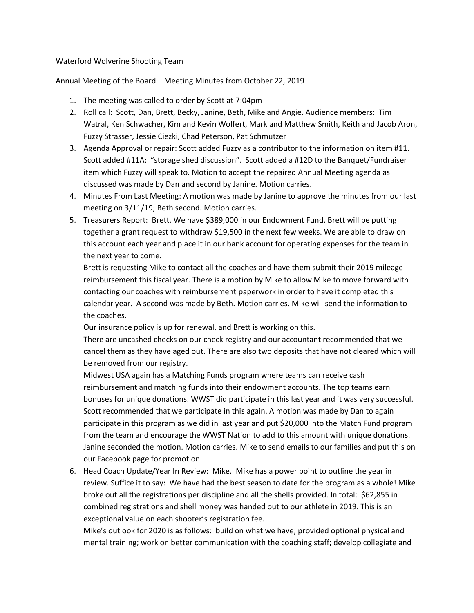## Waterford Wolverine Shooting Team

Annual Meeting of the Board – Meeting Minutes from October 22, 2019

- 1. The meeting was called to order by Scott at 7:04pm
- 2. Roll call: Scott, Dan, Brett, Becky, Janine, Beth, Mike and Angie. Audience members: Tim Watral, Ken Schwacher, Kim and Kevin Wolfert, Mark and Matthew Smith, Keith and Jacob Aron, Fuzzy Strasser, Jessie Ciezki, Chad Peterson, Pat Schmutzer
- 3. Agenda Approval or repair: Scott added Fuzzy as a contributor to the information on item #11. Scott added #11A: "storage shed discussion". Scott added a #12D to the Banquet/Fundraiser item which Fuzzy will speak to. Motion to accept the repaired Annual Meeting agenda as discussed was made by Dan and second by Janine. Motion carries.
- 4. Minutes From Last Meeting: A motion was made by Janine to approve the minutes from our last meeting on 3/11/19; Beth second. Motion carries.
- 5. Treasurers Report: Brett. We have \$389,000 in our Endowment Fund. Brett will be putting together a grant request to withdraw \$19,500 in the next few weeks. We are able to draw on this account each year and place it in our bank account for operating expenses for the team in the next year to come.

Brett is requesting Mike to contact all the coaches and have them submit their 2019 mileage reimbursement this fiscal year. There is a motion by Mike to allow Mike to move forward with contacting our coaches with reimbursement paperwork in order to have it completed this calendar year. A second was made by Beth. Motion carries. Mike will send the information to the coaches.

Our insurance policy is up for renewal, and Brett is working on this.

There are uncashed checks on our check registry and our accountant recommended that we cancel them as they have aged out. There are also two deposits that have not cleared which will be removed from our registry.

Midwest USA again has a Matching Funds program where teams can receive cash reimbursement and matching funds into their endowment accounts. The top teams earn bonuses for unique donations. WWST did participate in this last year and it was very successful. Scott recommended that we participate in this again. A motion was made by Dan to again participate in this program as we did in last year and put \$20,000 into the Match Fund program from the team and encourage the WWST Nation to add to this amount with unique donations. Janine seconded the motion. Motion carries. Mike to send emails to our families and put this on our Facebook page for promotion.

6. Head Coach Update/Year In Review: Mike. Mike has a power point to outline the year in review. Suffice it to say: We have had the best season to date for the program as a whole! Mike broke out all the registrations per discipline and all the shells provided. In total: \$62,855 in combined registrations and shell money was handed out to our athlete in 2019. This is an exceptional value on each shooter's registration fee.

Mike's outlook for 2020 is as follows: build on what we have; provided optional physical and mental training; work on better communication with the coaching staff; develop collegiate and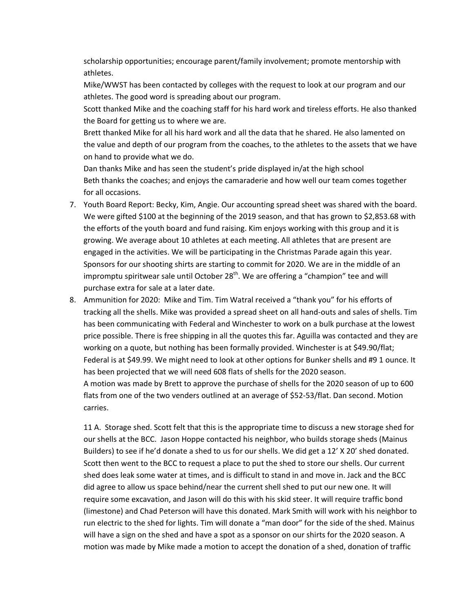scholarship opportunities; encourage parent/family involvement; promote mentorship with athletes.

Mike/WWST has been contacted by colleges with the request to look at our program and our athletes. The good word is spreading about our program.

Scott thanked Mike and the coaching staff for his hard work and tireless efforts. He also thanked the Board for getting us to where we are.

Brett thanked Mike for all his hard work and all the data that he shared. He also lamented on the value and depth of our program from the coaches, to the athletes to the assets that we have on hand to provide what we do.

Dan thanks Mike and has seen the student's pride displayed in/at the high school Beth thanks the coaches; and enjoys the camaraderie and how well our team comes together for all occasions.

- 7. Youth Board Report: Becky, Kim, Angie. Our accounting spread sheet was shared with the board. We were gifted \$100 at the beginning of the 2019 season, and that has grown to \$2,853.68 with the efforts of the youth board and fund raising. Kim enjoys working with this group and it is growing. We average about 10 athletes at each meeting. All athletes that are present are engaged in the activities. We will be participating in the Christmas Parade again this year. Sponsors for our shooting shirts are starting to commit for 2020. We are in the middle of an impromptu spiritwear sale until October  $28<sup>th</sup>$ . We are offering a "champion" tee and will purchase extra for sale at a later date.
- 8. Ammunition for 2020: Mike and Tim. Tim Watral received a "thank you" for his efforts of tracking all the shells. Mike was provided a spread sheet on all hand-outs and sales of shells. Tim has been communicating with Federal and Winchester to work on a bulk purchase at the lowest price possible. There is free shipping in all the quotes this far. Aguilla was contacted and they are working on a quote, but nothing has been formally provided. Winchester is at \$49.90/flat; Federal is at \$49.99. We might need to look at other options for Bunker shells and #9 1 ounce. It has been projected that we will need 608 flats of shells for the 2020 season. A motion was made by Brett to approve the purchase of shells for the 2020 season of up to 600 flats from one of the two venders outlined at an average of \$52-53/flat. Dan second. Motion carries.

11 A. Storage shed. Scott felt that this is the appropriate time to discuss a new storage shed for our shells at the BCC. Jason Hoppe contacted his neighbor, who builds storage sheds (Mainus Builders) to see if he'd donate a shed to us for our shells. We did get a 12' X 20' shed donated. Scott then went to the BCC to request a place to put the shed to store our shells. Our current shed does leak some water at times, and is difficult to stand in and move in. Jack and the BCC did agree to allow us space behind/near the current shell shed to put our new one. It will require some excavation, and Jason will do this with his skid steer. It will require traffic bond (limestone) and Chad Peterson will have this donated. Mark Smith will work with his neighbor to run electric to the shed for lights. Tim will donate a "man door" for the side of the shed. Mainus will have a sign on the shed and have a spot as a sponsor on our shirts for the 2020 season. A motion was made by Mike made a motion to accept the donation of a shed, donation of traffic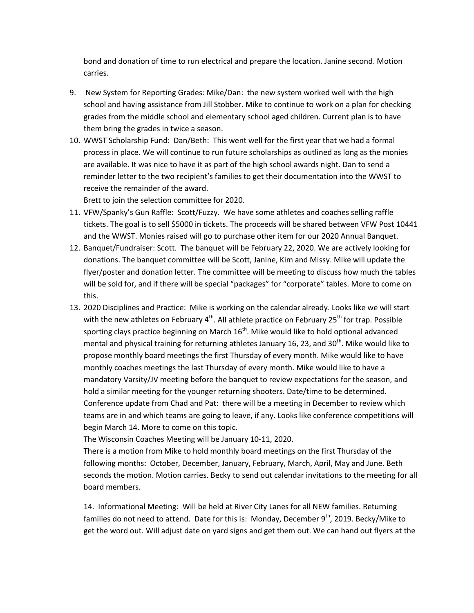bond and donation of time to run electrical and prepare the location. Janine second. Motion carries.

- 9. New System for Reporting Grades: Mike/Dan: the new system worked well with the high school and having assistance from Jill Stobber. Mike to continue to work on a plan for checking grades from the middle school and elementary school aged children. Current plan is to have them bring the grades in twice a season.
- 10. WWST Scholarship Fund: Dan/Beth: This went well for the first year that we had a formal process in place. We will continue to run future scholarships as outlined as long as the monies are available. It was nice to have it as part of the high school awards night. Dan to send a reminder letter to the two recipient's families to get their documentation into the WWST to receive the remainder of the award.

Brett to join the selection committee for 2020.

- 11. VFW/Spanky's Gun Raffle: Scott/Fuzzy. We have some athletes and coaches selling raffle tickets. The goal is to sell \$5000 in tickets. The proceeds will be shared between VFW Post 10441 and the WWST. Monies raised will go to purchase other item for our 2020 Annual Banquet.
- 12. Banquet/Fundraiser: Scott. The banquet will be February 22, 2020. We are actively looking for donations. The banquet committee will be Scott, Janine, Kim and Missy. Mike will update the flyer/poster and donation letter. The committee will be meeting to discuss how much the tables will be sold for, and if there will be special "packages" for "corporate" tables. More to come on this.
- 13. 2020 Disciplines and Practice: Mike is working on the calendar already. Looks like we will start with the new athletes on February  $4<sup>th</sup>$ . All athlete practice on February 25<sup>th</sup> for trap. Possible sporting clays practice beginning on March  $16^{th}$ . Mike would like to hold optional advanced mental and physical training for returning athletes January 16, 23, and 30<sup>th</sup>. Mike would like to propose monthly board meetings the first Thursday of every month. Mike would like to have monthly coaches meetings the last Thursday of every month. Mike would like to have a mandatory Varsity/JV meeting before the banquet to review expectations for the season, and hold a similar meeting for the younger returning shooters. Date/time to be determined. Conference update from Chad and Pat: there will be a meeting in December to review which teams are in and which teams are going to leave, if any. Looks like conference competitions will begin March 14. More to come on this topic.

The Wisconsin Coaches Meeting will be January 10-11, 2020.

There is a motion from Mike to hold monthly board meetings on the first Thursday of the following months: October, December, January, February, March, April, May and June. Beth seconds the motion. Motion carries. Becky to send out calendar invitations to the meeting for all board members.

14. Informational Meeting: Will be held at River City Lanes for all NEW families. Returning families do not need to attend. Date for this is: Monday, December  $9<sup>th</sup>$ , 2019. Becky/Mike to get the word out. Will adjust date on yard signs and get them out. We can hand out flyers at the